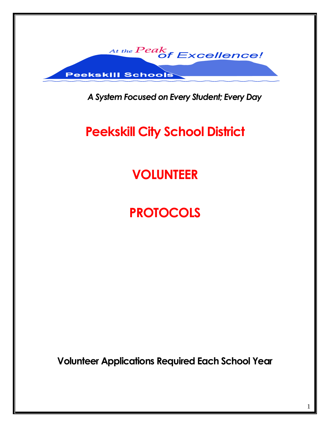

*A System Focused on Every Student; Every Day*

# **Peekskill City School District**

## **VOLUNTEER**

## **PROTOCOLS**

**Volunteer Applications Required Each School Year**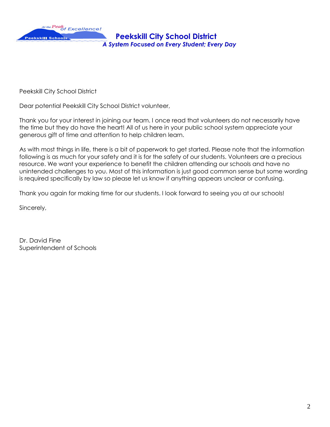

Peekskill City School District

Dear potential Peekskill City School District volunteer,

Thank you for your interest in joining our team. I once read that volunteers do not necessarily have the time but they do have the heart! All of us here in your public school system appreciate your generous gift of time and attention to help children learn.

As with most things in life, there is a bit of paperwork to get started. Please note that the information following is as much for your safety and it is for the safety of our students. Volunteers are a precious resource. We want your experience to benefit the children attending our schools and have no unintended challenges to you. Most of this information is just good common sense but some wording is required specifically by law so please let us know if anything appears unclear or confusing.

Thank you again for making time for our students. I look forward to seeing you at our schools!

Sincerely,

Dr. David Fine Superintendent of Schools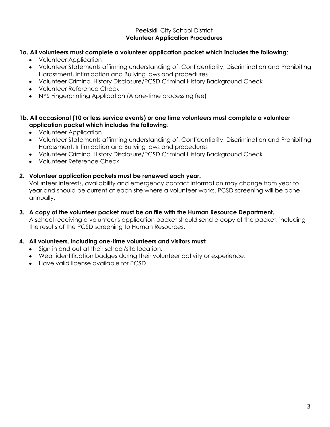#### Peekskill City School District **Volunteer Application Procedures**

### **1a. All volunteers must complete a volunteer application packet which includes the following**:

- Volunteer Application  $\bullet$
- Volunteer Statements affirming understanding of: Confidentiality, Discrimination and Prohibiting Harassment, Intimidation and Bullying laws and procedures
- Volunteer Criminal History Disclosure/PCSD Criminal History Background Check
- Volunteer Reference Check
- NYS Fingerprinting Application (A one-time processing fee)

#### **1b. All occasional (10 or less service events) or one time volunteers must complete a volunteer application packet which includes the following**:

- Volunteer Application
- Volunteer Statements affirming understanding of: Confidentiality, Discrimination and Prohibiting Harassment, Intimidation and Bullying laws and procedures
- Volunteer Criminal History Disclosure/PCSD Criminal History Background Check
- Volunteer Reference Check

#### **2. Volunteer application packets must be renewed each year.**

Volunteer interests, availability and emergency contact information may change from year to year and should be current at each site where a volunteer works. PCSD screening will be done annually.

#### **3. A copy of the volunteer packet must be on file with the Human Resource Department.**

A school receiving a volunteer's application packet should send a copy of the packet, including the results of the PCSD screening to Human Resources.

#### **4. All volunteers, including one-time volunteers and visitors must:**

- Sign in and out at their school/site location.
- Wear identification badges during their volunteer activity or experience.
- Have valid license available for PCSD